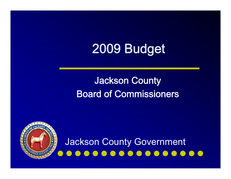# 2009 Budget

#### Jackson County Board of Commissioners

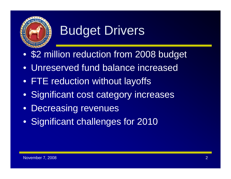

# Budget Drivers

- \$2 million reduction from 2008 budget
- Unreserved fund balance increased
- FTE reduction without layoffs
- Significant cost category increases
- Decreasing revenues
- Significant challenges for 2010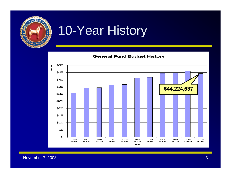

# 10-Year History

**General Fund Budget History**



November 7, 2008 3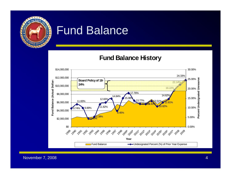

#### Fund Balance

**Fund Balance History**



November 7, 2008 4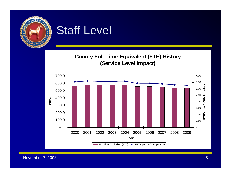

#### Staff Level

#### **County Full Time Equivalent (FTE) History (Service Level Impact)**



November 7, 2008 **5** Section 1 2008 **5** Section 1 2008 5 Section 1 2008 5 Section 1 2008 5 Section 1 2008 5 Section 1 2008 5 Section 1 2008 5 Section 1 2008 5 Section 1 2008 5 Section 1 2008 5 Section 1 2008 5 Section 1 20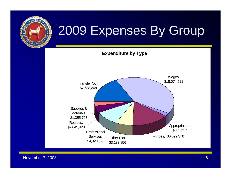





November 7, 2008 **6 November 7, 2008** 6 November 2, 2008 6 November 2, 2008 6 November 2, 2008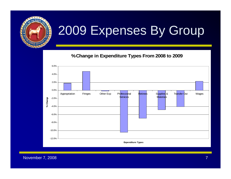

**% Change in Expenditure Types From 2008 to 2009**



November 7, 2008 **7, 2008** 7, 2008 7, 2008 7, 2008 7, 2008 7, 2008 7, 2008 7, 2008 7, 2008 7, 2008 7, 2008 7, 2008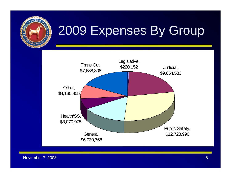



November 7, 2008 8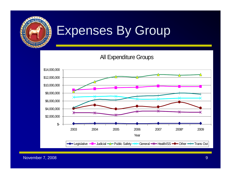

All Expenditure Groups



November 7, 2008 **9 November 7, 2008** 9 November 2, 2008 9 November 2, 2008 9 November 2, 2008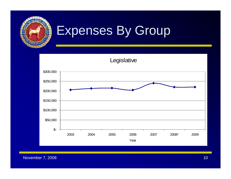

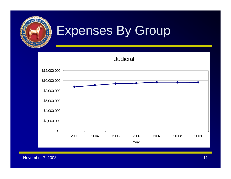



November 7, 2008 11 and 10 and 10 and 10 and 10 and 10 and 10 and 10 and 10 and 10 and 10 and 11 and 11 and 11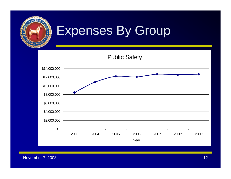



November 7, 2008 12 and 2008 12 and 2008 12 and 2008 12 and 2008 12 and 2008 12 and 2008 12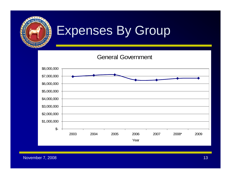

General Government

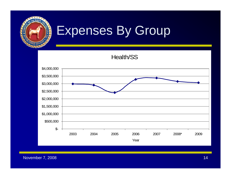

Health/SS



November 7, 2008 14 November 7, 2008 14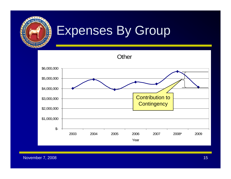



November 7, 2008 15 and 2008 15 and 2008 15 and 2008 15 and 2008 15 and 2008 15 and 2008 15 and 2008 15 and 20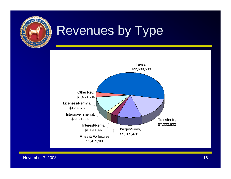

## Revenues by Type

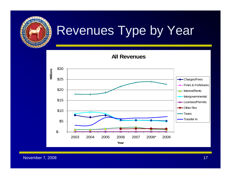

**All Revenues**



November 7, 2008 17 and 17 and 17 and 17 and 17 and 17 and 17 and 17 and 17 and 17 and 17 and 17 and 17 and 17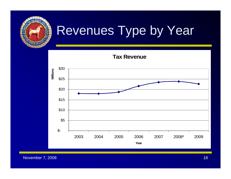

**Tax Revenue**



November 7, 2008 18 and 2008 18 and 2008 18 and 2008 18 and 2008 18 and 2008 18 and 2008 18 and 2008 18 and 20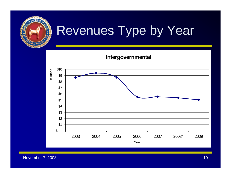

**Intergovernmental**



November 7, 2008 19 and 2008 19 and 2008 19 and 2008 19 and 2008 19 and 2008 19 and 2008 19 and 2008 19 and 20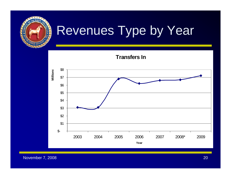





November 7, 2008 20 and 20 and 20 and 20 and 20 and 20 and 20 and 20 and 20 and 20 and 20 and 20 and 20 and 20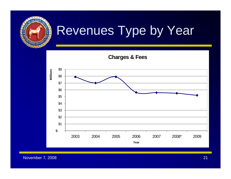

**Charges & Fees**



November 7, 2008 21 and 2008 21 and 2008 22 and 2008 22 and 2008 22 and 2008 22 and 2008 22 and 2008 22 and 20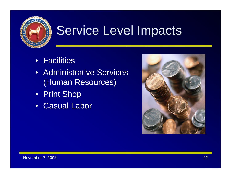

# Service Level Impacts

- Facilities
- Administrative Services (Human Resources)
- Print Shop
- Casual Labor

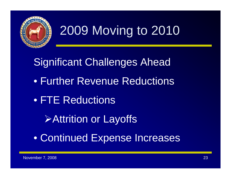

# 2009 Moving to 2010

Significant Challenges Ahead • Further Revenue Reductions • FTE Reductions ¾Attrition or Layoffs • Continued Expense Increases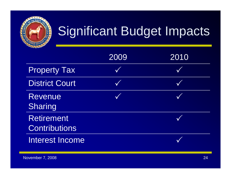

# Significant Budget Impacts

|                                           | 2009 | 2010 |
|-------------------------------------------|------|------|
| <b>Property Tax</b>                       |      |      |
| <b>District Court</b>                     |      |      |
| <b>Revenue</b><br>Sharing                 |      |      |
| <b>Retirement</b><br><b>Contributions</b> |      |      |
| <b>Interest Income</b>                    |      |      |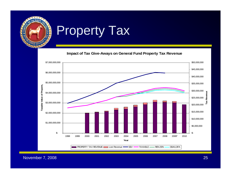

## Property Tax

**Impact of Tax Give-Aways on General Fund Property Tax Revenue**



November 7, 2008 25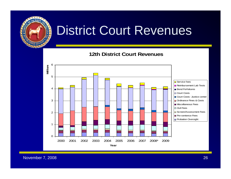

### District Court Revenues

#### **12th District Court Revenues**



November 7, 2008 26 and 2008 26 and 2008 26 and 2008 26 and 2008 26 and 2008 26 and 2008 26 and 2008 26 and 20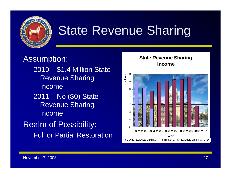

# State Revenue Sharing

Assumption: 2010 – \$1.4 Million State Revenue Sharing Income2011 – No (\$0) State Revenue Sharing IncomeRealm of Possibility: Full or Partial Restoration

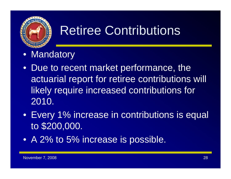

# Retiree Contributions

- Mandatory
- Due to recent market performance, the actuarial report for retiree contributions will likely require increased contributions for 2010.
- Every 1% increase in contributions is equal to \$200,000.
- A 2% to 5% increase is possible.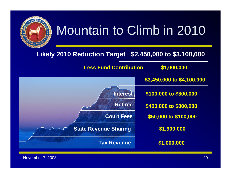# Mountain to Climb in 2010



#### **Likely 2010 Reduction Target \$2,450,000 to \$3,100,000**

Less Fund Contribution **- \$1,000,000** 

**\$3,450,000 to \$4,100,000**

**\$1,900,000 \$50,000 to \$100,000 \$400,000 to \$800,000 \$100,000 to \$300,000**

**\$1,000,000**

**Tax Revenue**

**Court Fees**

**Retiree**

**Interest**

**State Revenue Sharing**

November 7, 2008 29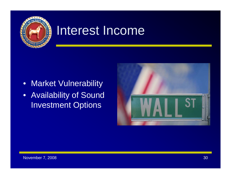

### Interest Income

- Market Vulnerability
- Availability of Sound Investment Options

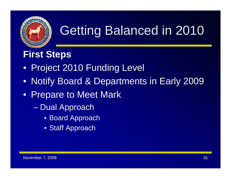

# Getting Balanced in 2010

#### **First Steps**

- Project 2010 Funding Level
- Notify Board & Departments in Early 2009
- Prepare to Meet Mark
	- Dual Approach
		- Board Approach
		- Staff Approach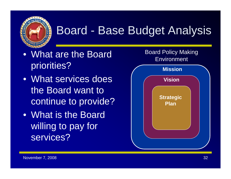

## Board - Base Budget Analysis

- What are the Board priorities?
- What services does the Board want to continue to provide?
- What is the Board willing to pay for services?

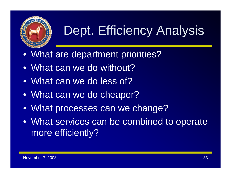

# Dept. Efficiency Analysis

- What are department priorities?
- What can we do without?
- What can we do less of?
- What can we do cheaper?
- What processes can we change?
- What services can be combined to operate more efficiently?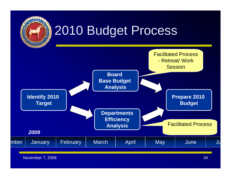

# 2010 Budget Process

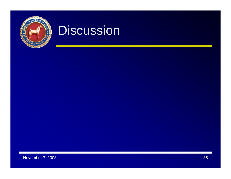

### **Discussion**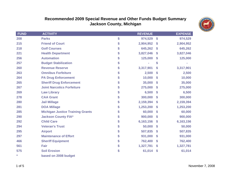

#### **Recommended 2009 Special Revenue and Other Funds Budget Summary Jackson County, Michigan**

| <b>FUND</b> | <b>ACTIVITY</b>                         | <b>REVENUE</b>  |                           | <b>EXPENSE</b> |
|-------------|-----------------------------------------|-----------------|---------------------------|----------------|
| 208         | <b>Parks</b>                            | \$<br>974,529   | $\boldsymbol{\mathsf{s}}$ | 974,529        |
| 215         | <b>Friend of Court</b>                  | \$<br>2,904,952 | \$                        | 2,904,952      |
| 218         | <b>Golf Courses</b>                     | \$<br>645,262   | \$                        | 645,262        |
| 221         | <b>Health Department</b>                | \$<br>3,827,046 | $\mathbf{\$}$             | 3,827,046      |
| 256         | <b>Automation</b>                       | \$<br>125,000   | \$                        | 125,000        |
| 257         | <b>Budget Stabilization</b>             | \$<br>÷         | \$                        |                |
| 260         | <b>Revenue Reserve</b>                  | \$<br>3,317,901 | \$                        | 3,317,901      |
| 263         | <b>Omnibus Forfeiture</b>               | \$<br>2,500     | \$                        | 2,500          |
| 264         | <b>PA Drug Enforcement</b>              | \$<br>10,000    | \$                        | 10,000         |
| 265         | <b>Sheriff Drug Enforcement</b>         | \$<br>35,000    | $\boldsymbol{\mathsf{s}}$ | 35,000         |
| 267         | <b>Joint Narcotics Forfeiture</b>       | \$<br>275,000   | \$                        | 275,000        |
| 269         | <b>Law Library</b>                      | \$<br>6,500     | \$                        | 6,500          |
| 278         | <b>CAA Grant</b>                        | \$<br>300,000   | \$                        | 300,000        |
| 280         | <b>Jail Millage</b>                     | \$<br>2,159,394 | \$                        | 2,159,394      |
| 281         | <b>DOA Millage</b>                      | \$<br>1,253,200 | \$                        | 1,253,200      |
| 285         | <b>Michigan Justice Training Grants</b> | \$<br>60,000    | \$                        | 60,000         |
| 290         | <b>Jackson County FIA*</b>              | \$<br>900,000   | \$                        | 900,000        |
| 292         | <b>Child Care</b>                       | \$<br>6,163,156 | $\boldsymbol{\mathsf{s}}$ | 6,163,156      |
| 294         | <b>Veteran's Trust</b>                  | \$<br>50,000    | \$                        | 50,000         |
| 295         | <b>Airport</b>                          | \$<br>507,835   | \$                        | 507,835        |
| 297         | <b>Maintenance of Effort</b>            | \$<br>931,000   | \$                        | 931,000        |
| 466         | <b>Sheriff Equipment</b>                | \$<br>762,400   | $\boldsymbol{\mathsf{s}}$ | 762,400        |
| 561         | Fair                                    | \$<br>1,327,781 | $\boldsymbol{\mathsf{s}}$ | 1,327,781      |
| 575         | <b>Soil Erosion</b>                     | \$<br>61,014    | $\boldsymbol{\hat{\ast}}$ | 61,014         |
| $\star$     | based on 2008 budget                    |                 |                           |                |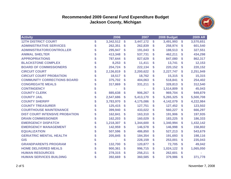#### **Recommended 2009 General Fund Expenditure Budget Jackson County, Michigan**



| <b>Activity</b>                       |    | 2006      |    | 2007      |    | 2008 Budget |    | <b>2009 AR</b> |
|---------------------------------------|----|-----------|----|-----------|----|-------------|----|----------------|
| <b>12TH DISTRICT COURT</b>            | \$ | 3,342,512 | \$ | 3,447,172 | \$ | 3,491,993   | \$ | 3,570,651      |
| <b>ADMINISTRATIVE SERVICES</b>        | \$ | 262,351   | \$ | 262,839   | \$ | 258,974     | \$ | 601,540        |
| <b>ADMINISTRATOR/CONTROLLER</b>       | \$ | 295,947   | \$ | 191,043   | S  | 188,513     | \$ | 327,551        |
| <b>ANIMAL SHELTER</b>                 |    | 413,348   | \$ | 537,731   | \$ | 462,211     | \$ | 434,298        |
| <b>APPROPRIATIONS</b>                 |    | 787,644   | \$ | 827,629   | \$ | 847,080     | \$ | 862,317        |
| <b>BLACKSTONE COMPLEX</b>             |    | 8,253     | \$ | 11,411    | \$ | 13,741      | \$ | 12,153         |
| <b>BOARD OF COMMISSIONERS</b>         |    | 204,724   | \$ | 222,134   | \$ | 220,152     | \$ | 220,152        |
| <b>CIRCUIT COURT</b>                  | \$ | 2,136,819 | \$ | 2,200,622 | \$ | 2,227,747   | \$ | 2,251,949      |
| <b>CIRCUIT COURT PROBATION</b>        |    | 18,517    | \$ | 18,762    | \$ | 15,315      | \$ | 15,315         |
| <b>COMMUNITY CORRECTIONS BOARD</b>    |    | 375,702   | \$ | 404,063   |    | 518,841     | \$ | 254,402        |
| <b>CONGREGATE MEALS</b>               |    | 317,869   | \$ | 331,211   | \$ | 328,813     | \$ | 312,540        |
| <b>CONTINGENCY</b>                    |    |           | \$ |           | \$ | 1,514,809   | \$ | 45,043         |
| <b>COUNTY CLERK</b>                   |    | 885,638   | S  | 906,267   | \$ | 969,704     | \$ | 949,879        |
| <b>COUNTY JAIL</b>                    |    | 2,547,686 | \$ | 5,413,170 | \$ | 5,265,325   | \$ | 5,500,708      |
| <b>COUNTY SHERIFF</b>                 |    | 3,783,970 | S  | 4,175,086 | \$ | 4,142,079   | S  | 4,222,984      |
| <b>COUNTY TREASURER</b>               |    | 125,415   | \$ | 127,751   | \$ | 127,452     | \$ | 123,502        |
| <b>COURTHOUSE MAINTENANCE</b>         |    | 399,940   | \$ | 433,022   | \$ | 560,227     | \$ | 666,297        |
| <b>DIST COURT INTENSIVE PROBATION</b> | \$ | 162,841   | \$ | 163,310   | S  | 191,906     | \$ | 197,935        |
| <b>DRAIN COMMISSIONER</b>             |    | 162,203   | \$ | 160,029   | \$ | 183,225     | \$ | 186,333        |
| <b>EMERGENCY DISPATCH</b>             | \$ | 1,218,307 | \$ | 1,344,600 | \$ | 1,340,994   | \$ | 1,432,142      |
| <b>EMERGENCY MANAGEMENT</b>           | \$ | 142,959   | \$ | 146,578   | \$ | 146,998     | \$ | 158,802        |
| <b>EQUALIZATION</b>                   |    | 507,596   | \$ | 486,850   | \$ | 527,213     | \$ | 543,679        |
| <b>GERIATRIC MENTAL HEALTH</b>        |    | 205,845   | \$ | 184,354   | \$ | 191,693     | \$ | 198,116        |
| <b>GIS</b>                            |    |           | \$ | 228,159   | \$ | 253,001     | \$ | 235,043        |
| <b>GRANDPARENTS PROGRAM</b>           | S  | 132,700   | \$ | 120,877   | \$ | 72,705      | \$ | 49,042         |
| <b>HOME DELIVERED MEALS</b>           |    | 900,361   | \$ | 996,715   | \$ | 1,024,122   | \$ | 1,065,050      |
| <b>HUMAN RESOURCES</b>                |    | 278,315   | \$ | 256,211   | \$ | 262,601     | \$ |                |
| <b>HUMAN SERVICES BUILDING</b>        |    | 392,669   | \$ | 360,585   | \$ | 379,986     | \$ | 371,778        |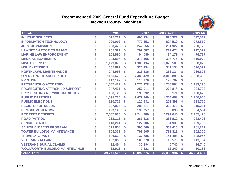#### **Recommended 2009 General Fund Expenditure Budget Jackson County, Michigan**



| <b>Activity</b>                       |                        | 2006       |              | 2007       |                           | 2008 Budget |                           | <b>2009 AR</b> |
|---------------------------------------|------------------------|------------|--------------|------------|---------------------------|-------------|---------------------------|----------------|
| <b>IN HOME SERVICES</b>               | \$                     | 515,771    | \$           | 605,194    | $\boldsymbol{\mathsf{s}}$ | 625,321     | \$                        | 597,312        |
| <b>INFORMATION TECHNOLOGY</b>         | \$                     | 729,003    | S            | 777,651    | \$                        | 824,519     | \$                        | 773,560        |
| <b>JURY COMMISSION</b>                |                        | 203,476    | S            | 242,556    | \$                        | 231,927     | S                         | 220,172        |
| <b>LAWNET NARCOTICS GRANT</b>         |                        | 205,527    | \$           | 209,687    | \$                        | 212,474     | S                         | 217,322        |
| <b>MARINE LAW ENFORCEMENT</b>         |                        | 108,896    | S            | 94,089     | S                         | 74,179      | S                         | 76,787         |
| <b>MEDICAL EXAMINERS</b>              |                        | 295,598    | S            | 311,466    | \$                        | 308,776     | S                         | 310,070        |
| <b>MISC EXPENSES</b>                  |                        | 1,179,070  | S            | 1,380,134  | \$                        | 1,026,500   | S                         | 1,068,075      |
| <b>MSU EXTENSION</b>                  | \$                     | 335,897    | S            | 320,494    | \$                        | 347,154     | S                         | 326,391        |
| <b>NORTHLAWN MAINTENANCE</b>          |                        | 244,998    | S            | 223,186    | \$                        | 253,124     | \$                        | 236,806        |
| <b>OPERATING TRANSFER OUT</b>         | \$                     | 7,165,628  | $\mathbf{s}$ | 7,385,429  | \$                        | 8,013,880   | S                         | 7,688,308      |
| <b>PRINTING</b>                       |                        | 112,197    | \$           | 113,370    | \$                        | 123,702     | \$                        |                |
| <b>PROSECUTING ATTORNEY</b>           |                        | 1,667,432  | S            | 1,771,978  | \$                        | 1,756,594   | S                         | 1,783,230      |
| <b>PROSECUTING ATTY/CHILD SUPPORT</b> |                        | 247,431    | S            | 257,011    | \$                        | 274,818     | S                         | 224,702        |
| <b>PROSECUTING ATTY/VICTIM RIGHTS</b> |                        | 188,126    | <b>S</b>     | 193,392    | \$                        | 199,171     | S                         | 190,629        |
| <b>PUBLIC DEFENDER</b>                | \$                     | 1,535,735  | S            | 1,479,740  | \$                        | 1,304,458   | S                         | 1,200,000      |
| <b>PUBLIC ELECTIONS</b>               |                        | 180,727    | S            | 127,981    | \$                        | 201,898     | \$                        | 133,770        |
| <b>REGISTER OF DEEDS</b>              |                        | 297,035    | S            | 281,817    | \$                        | 323,476     | S                         | 315,251        |
| <b>REMONUMENTATION</b>                |                        | 123,126    | \$           | 133,057    | \$                        | 98,838      | S                         | 64,594         |
| <b>RETIREES BENEFITS</b>              |                        | 2,667,073  | S            | 2,244,386  | \$                        | 2,297,640   | S                         | 2,155,420      |
| <b>ROAD PATROL</b>                    | \$                     | 262,116    | <b>S</b>     | 266,318    | \$                        | 266,812     | S                         | 283,496        |
| <b>SENIOR CENTER</b>                  |                        | 113,264    | S            | 127,006    | \$                        | 131,939     | \$                        | 109,790        |
| <b>SENIOR CITIZENS PROGRAM</b>        | \$                     | 313,854    | S            | 303,866    | \$                        | 309,410     | \$                        | 281,211        |
| <b>TOWER BUILDING MAINTENANCE</b>     |                        | 765,339    | S            | 799,605    | \$                        | 779,312     | \$                        | 852,305        |
| <b>TRUANCY GRANT</b>                  |                        | 146,629    | \$           | 137,885    | \$                        | 151,493     | \$                        | 148,055        |
| <b>VETERANS AFFAIRS</b>               |                        | 102,059    | S            | 109,378    | \$                        | 112,579     | S                         | 113,104        |
| <b>VETERANS BURIAL CLAIMS</b>         |                        | 32,454     | S            | 30,294     | \$                        | 40,740      | \$                        | 34,740         |
| <b>WOOLWORTH BUILDING MAINTENANCE</b> |                        | 22,913     | S            | 7,123      | \$                        | 12,840      | S                         | 10,336         |
| <b>Grand Total</b>                    | $\boldsymbol{\hat{s}}$ | 39,771,505 | \$           | 43,892,274 | $\boldsymbol{s}$          | 46,030,994  | $\boldsymbol{\mathsf{s}}$ | 44,224,637     |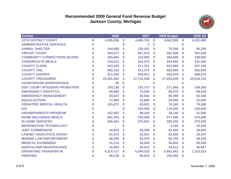#### **Recommended 2009 General Fund Revenue Budget Jackson County, Michigan**



| <b>Activity</b>                       | 2006            |    | 2007       |    | 2008 Budget |    | <b>2009 AR</b> |
|---------------------------------------|-----------------|----|------------|----|-------------|----|----------------|
| <b>12TH DISTRICT COURT</b>            | \$<br>4,285,636 | \$ | 4,484,705  | \$ | 4,662,900   | \$ | 4,181,400      |
| <b>ADMINISTRATIVE SERVICES</b>        |                 | \$ | 2          | \$ |             | S  |                |
| <b>ANIMAL SHELTER</b>                 | 104,928         | \$ | 136,241    | S  | 75,350      |    | 85,200         |
| <b>CIRCUIT COURT</b>                  | 544,077         | S  | 667,872    | \$ | 591,508     | S  | 591,258        |
| <b>COMMUNITY CORRECTIONS BOARD</b>    | 355,695         | \$ | 333,060    | \$ | 460,688     | S  | 198,900        |
| <b>CONGREGATE MEALS</b>               | 244,612         | S  | 245,572    | \$ | 243,650     | S  | 241,000        |
| <b>COUNTY CLERK</b>                   | 543,329         | \$ | 571,321    | \$ | 623,969     | S  | 537,783        |
| <b>COUNTY JAIL</b>                    | 365,152         | \$ | 611,275    | \$ | 602,000     | S  | 652,500        |
| <b>COUNTY SHERIFF</b>                 | 511,693         | \$ | 549,812    | \$ | 545,579     | \$ | 568,270        |
| <b>COUNTY TREASURER</b>               | 25,431,854      | \$ | 27,712,548 | \$ | 27,226,649  | S  | 25,918,720     |
| <b>COURTHOUSE MAINTENANCE</b>         | 90              | S  |            |    |             |    |                |
| <b>DIST COURT INTENSIVE PROBATION</b> | 193,138         | \$ | 192,727    | S  | 211,068     | S  | 169,300        |
| <b>EMERGENCY DISPATCH</b>             | 89,066          | \$ | 75,840     | S  | 86,970      | S  | 88,403         |
| <b>EMERGENCY MANAGEMENT</b>           | 84,047          | \$ | 83,562     | \$ | 80,498      | \$ | 92,546         |
| <b>EQUALIZATION</b>                   | 17,860          | S  | 22,885     | S  | 20,000      | S  | 25,000         |
| <b>GERIATRIC MENTAL HEALTH</b>        | 105,672         | S  | 83,601     | \$ | 76,180      | S  | 79,380         |
| <b>GIS</b>                            |                 |    | 124,008    | \$ | 110,000     | S  | 120,000        |
| <b>GRANDPARENTS PROGRAM</b>           | 107,852         | S  | 89,185     | S  | 28,100      | S  | 31,550         |
| <b>HOME DELIVERED MEALS</b>           | 661,105         | \$ | 700,268    | \$ | 677,000     | S  | 670,000        |
| <b>IN HOME SERVICES</b>               | 266,494         | \$ | 275,831    | \$ | 280,100     | S  | 275,000        |
| <b>INFORMATION TECHNOLOGY</b>         |                 |    |            |    | 2,100       | S  | 16,500         |
| <b>JURY COMMISSION</b>                | 30,828          | \$ | 34,208     | \$ | 42,000      | S  | 36,000         |
| <b>LAWNET NARCOTICS GRANT</b>         | 61,575          | \$ | 52,041     | \$ | 53,505      | S  | 24,427         |
| <b>MARINE LAW ENFORCEMENT</b>         | 68,290          | S  | 63,076     | \$ | 50,759      | S  | 59,259         |
| <b>MEDICAL EXAMINERS</b>              | 41,214          | S  | 40,845     | \$ | 46,000      | S  | 50,500         |
| <b>NORTHLAWN MAINTENANCE</b>          | 16,850          | \$ | 36,612     | \$ | 36,612      | \$ | 36,887         |
| <b>OPERATING TRANSFER IN</b>          | 6,214,717       | \$ | 6,599,333  | \$ | 6,681,943   | S  | 7,223,523      |
| <b>PRINTING</b>                       | 96,216          | S  | 96,818     | S  | 105,000     | \$ |                |